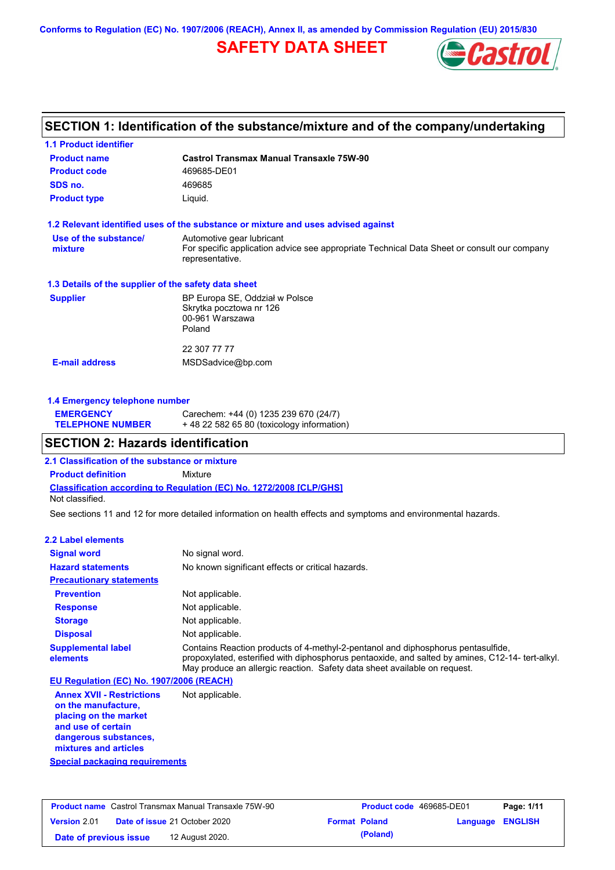**Conforms to Regulation (EC) No. 1907/2006 (REACH), Annex II, as amended by Commission Regulation (EU) 2015/830**

# **SAFETY DATA SHEET**



### **SECTION 1: Identification of the substance/mixture and of the company/undertaking**

| <b>1.1 Product identifier</b>                        |                                                                                                                |
|------------------------------------------------------|----------------------------------------------------------------------------------------------------------------|
| <b>Product name</b>                                  | Castrol Transmax Manual Transaxle 75W-90                                                                       |
| <b>Product code</b>                                  | 469685-DE01                                                                                                    |
| SDS no.                                              | 469685                                                                                                         |
| <b>Product type</b>                                  | Liquid.                                                                                                        |
|                                                      | 1.2 Relevant identified uses of the substance or mixture and uses advised against                              |
| Use of the substance/                                | Automotive gear lubricant                                                                                      |
| mixture                                              | For specific application advice see appropriate Technical Data Sheet or consult our company<br>representative. |
| 1.3 Details of the supplier of the safety data sheet |                                                                                                                |
| <b>Supplier</b>                                      | BP Europa SE, Oddział w Polsce                                                                                 |
|                                                      | Skrytka pocztowa nr 126                                                                                        |
|                                                      | 00-961 Warszawa                                                                                                |
|                                                      | Poland                                                                                                         |
|                                                      | 22 307 77 77                                                                                                   |
| <b>E-mail address</b>                                | MSDSadvice@bp.com                                                                                              |
|                                                      |                                                                                                                |
|                                                      |                                                                                                                |

### **1.4 Emergency telephone number**

| <b>EMERGENCY</b>        | Carechem: +44 (0) 1235 239 670 (24/7)     |
|-------------------------|-------------------------------------------|
| <b>TELEPHONE NUMBER</b> | +48 22 582 65 80 (toxicology information) |

### **SECTION 2: Hazards identification**

**2.1 Classification of the substance or mixture**

**Classification according to Regulation (EC) No. 1272/2008 [CLP/GHS] Product definition** Mixture Not classified.

See sections 11 and 12 for more detailed information on health effects and symptoms and environmental hazards.

### **2.2 Label elements**

| <b>Signal word</b>                       | No signal word.                                                                                                                                                                                                                                                   |
|------------------------------------------|-------------------------------------------------------------------------------------------------------------------------------------------------------------------------------------------------------------------------------------------------------------------|
| <b>Hazard statements</b>                 | No known significant effects or critical hazards.                                                                                                                                                                                                                 |
| <b>Precautionary statements</b>          |                                                                                                                                                                                                                                                                   |
| <b>Prevention</b>                        | Not applicable.                                                                                                                                                                                                                                                   |
| <b>Response</b>                          | Not applicable.                                                                                                                                                                                                                                                   |
| <b>Storage</b>                           | Not applicable.                                                                                                                                                                                                                                                   |
| <b>Disposal</b>                          | Not applicable.                                                                                                                                                                                                                                                   |
| <b>Supplemental label</b><br>elements    | Contains Reaction products of 4-methyl-2-pentanol and diphosphorus pentasulfide,<br>propoxylated, esterified with diphosphorus pentaoxide, and salted by amines, C12-14- tert-alkyl.<br>May produce an allergic reaction. Safety data sheet available on request. |
| EU Regulation (EC) No. 1907/2006 (REACH) |                                                                                                                                                                                                                                                                   |

**Annex XVII - Restrictions on the manufacture, placing on the market and use of certain dangerous substances, mixtures and articles** Not applicable.

**Special packaging requirements**

| <b>Product name</b> Castrol Transmax Manual Transaxle 75W-90 |                                      | <b>Product code</b> 469685-DE01 |                      | Page: 1/11              |  |
|--------------------------------------------------------------|--------------------------------------|---------------------------------|----------------------|-------------------------|--|
| <b>Version 2.01</b>                                          | <b>Date of issue 21 October 2020</b> |                                 | <b>Format Poland</b> | <b>Language ENGLISH</b> |  |
| Date of previous issue                                       | 12 August 2020.                      |                                 | (Poland)             |                         |  |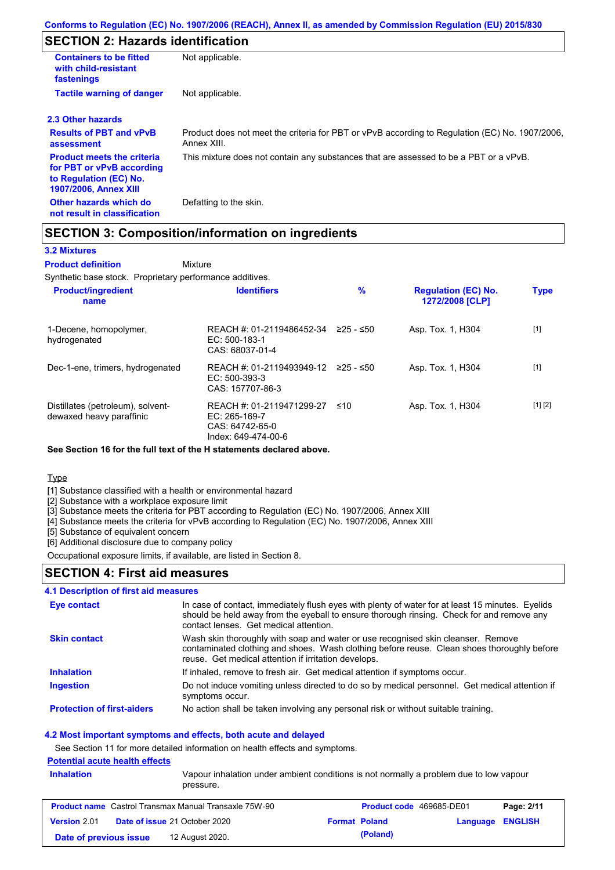### **SECTION 2: Hazards identification**

| <b>Containers to be fitted</b><br>with child-resistant<br>fastenings                                                     | Not applicable.                                                                                               |
|--------------------------------------------------------------------------------------------------------------------------|---------------------------------------------------------------------------------------------------------------|
| <b>Tactile warning of danger</b>                                                                                         | Not applicable.                                                                                               |
| 2.3 Other hazards                                                                                                        |                                                                                                               |
| <b>Results of PBT and vPvB</b><br>assessment                                                                             | Product does not meet the criteria for PBT or vPvB according to Regulation (EC) No. 1907/2006,<br>Annex XIII. |
| <b>Product meets the criteria</b><br>for PBT or vPvB according<br>to Regulation (EC) No.<br><b>1907/2006, Annex XIII</b> | This mixture does not contain any substances that are assessed to be a PBT or a vPvB.                         |
| Other hazards which do<br>not result in classification                                                                   | Defatting to the skin.                                                                                        |

### **SECTION 3: Composition/information on ingredients**

### **3.2 Mixtures**

Mixture **Product definition**

Synthetic base stock. Proprietary performance additives.

| <b>Product/ingredient</b><br>name                             | <b>Identifiers</b>                                                                     | %           | <b>Regulation (EC) No.</b><br>1272/2008 [CLP] | <b>Type</b> |
|---------------------------------------------------------------|----------------------------------------------------------------------------------------|-------------|-----------------------------------------------|-------------|
| 1-Decene, homopolymer,<br>hydrogenated                        | REACH #: 01-2119486452-34<br>EC: 500-183-1<br>CAS: 68037-01-4                          | $≥25 - ≤50$ | Asp. Tox. 1, H304                             | $[1]$       |
| Dec-1-ene, trimers, hydrogenated                              | REACH #: 01-2119493949-12<br>$EC: 500-393-3$<br>CAS: 157707-86-3                       | 225 - ≤50   | Asp. Tox. 1, H304                             | $[1]$       |
| Distillates (petroleum), solvent-<br>dewaxed heavy paraffinic | REACH #: 01-2119471299-27<br>$EC: 265-169-7$<br>CAS: 64742-65-0<br>Index: 649-474-00-6 | ≤10         | Asp. Tox. 1, H304                             | [1] [2]     |

**See Section 16 for the full text of the H statements declared above.**

**Type** 

[1] Substance classified with a health or environmental hazard

[2] Substance with a workplace exposure limit

[3] Substance meets the criteria for PBT according to Regulation (EC) No. 1907/2006, Annex XIII

[4] Substance meets the criteria for vPvB according to Regulation (EC) No. 1907/2006, Annex XIII

[5] Substance of equivalent concern

[6] Additional disclosure due to company policy

Occupational exposure limits, if available, are listed in Section 8.

### **SECTION 4: First aid measures**

### **4.1 Description of first aid measures**

| Eye contact                       | In case of contact, immediately flush eyes with plenty of water for at least 15 minutes. Eyelids<br>should be held away from the eyeball to ensure thorough rinsing. Check for and remove any<br>contact lenses. Get medical attention. |
|-----------------------------------|-----------------------------------------------------------------------------------------------------------------------------------------------------------------------------------------------------------------------------------------|
| <b>Skin contact</b>               | Wash skin thoroughly with soap and water or use recognised skin cleanser. Remove<br>contaminated clothing and shoes. Wash clothing before reuse. Clean shoes thoroughly before<br>reuse. Get medical attention if irritation develops.  |
| <b>Inhalation</b>                 | If inhaled, remove to fresh air. Get medical attention if symptoms occur.                                                                                                                                                               |
| <b>Ingestion</b>                  | Do not induce vomiting unless directed to do so by medical personnel. Get medical attention if<br>symptoms occur.                                                                                                                       |
| <b>Protection of first-aiders</b> | No action shall be taken involving any personal risk or without suitable training.                                                                                                                                                      |

#### **4.2 Most important symptoms and effects, both acute and delayed**

See Section 11 for more detailed information on health effects and symptoms.

#### **Potential acute health effects**

| <b>Inhalation</b>      | Vapour inhalation under ambient conditions is not normally a problem due to low vapour<br>pressure. |  |                                 |                         |            |
|------------------------|-----------------------------------------------------------------------------------------------------|--|---------------------------------|-------------------------|------------|
|                        | <b>Product name</b> Castrol Transmax Manual Transaxle 75W-90                                        |  | <b>Product code</b> 469685-DE01 |                         | Page: 2/11 |
| <b>Version 2.01</b>    | <b>Date of issue 21 October 2020</b>                                                                |  | <b>Format Poland</b>            | <b>Language ENGLISH</b> |            |
| Date of previous issue | 12 August 2020.                                                                                     |  | (Poland)                        |                         |            |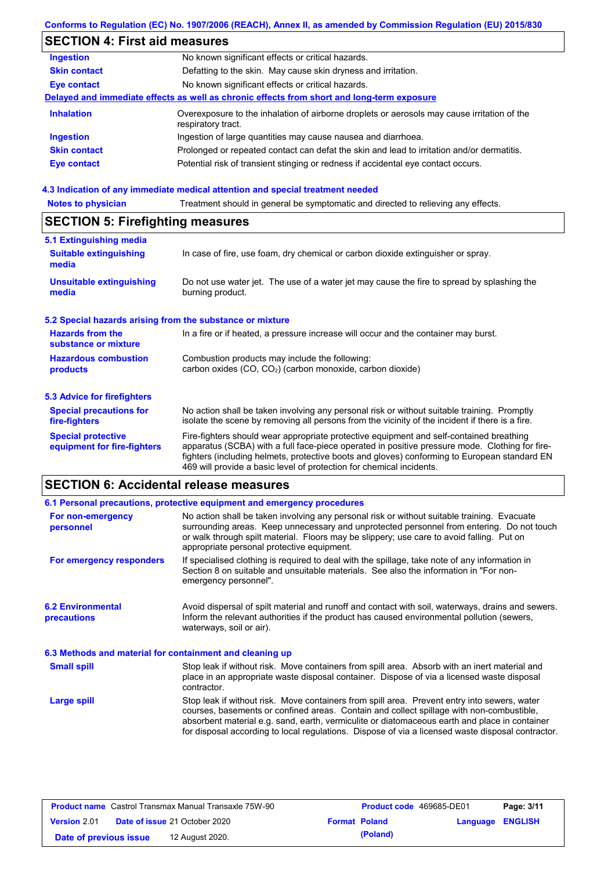### **Conforms to Regulation (EC) No. 1907/2006 (REACH), Annex II, as amended by Commission Regulation (EU) 2015/830**

# **SECTION 4: First aid measures**

| <b>Ingestion</b>    | No known significant effects or critical hazards.                                                                 |
|---------------------|-------------------------------------------------------------------------------------------------------------------|
| <b>Skin contact</b> | Defatting to the skin. May cause skin dryness and irritation.                                                     |
| <b>Eye contact</b>  | No known significant effects or critical hazards.                                                                 |
|                     | Delayed and immediate effects as well as chronic effects from short and long-term exposure                        |
| <b>Inhalation</b>   | Overexposure to the inhalation of airborne droplets or aerosols may cause irritation of the<br>respiratory tract. |
| <b>Ingestion</b>    | Ingestion of large quantities may cause nausea and diarrhoea.                                                     |
| <b>Skin contact</b> | Prolonged or repeated contact can defat the skin and lead to irritation and/or dermatitis.                        |
| Eye contact         | Potential risk of transient stinging or redness if accidental eye contact occurs.                                 |
|                     |                                                                                                                   |

### **4.3 Indication of any immediate medical attention and special treatment needed**

| <b>Notes to physician</b>                                 | Treatment should in general be symptomatic and directed to relieving any effects.                                                                                                                                                                                                                                                                                 |  |  |  |
|-----------------------------------------------------------|-------------------------------------------------------------------------------------------------------------------------------------------------------------------------------------------------------------------------------------------------------------------------------------------------------------------------------------------------------------------|--|--|--|
| <b>SECTION 5: Firefighting measures</b>                   |                                                                                                                                                                                                                                                                                                                                                                   |  |  |  |
| 5.1 Extinguishing media                                   |                                                                                                                                                                                                                                                                                                                                                                   |  |  |  |
| <b>Suitable extinguishing</b><br>media                    | In case of fire, use foam, dry chemical or carbon dioxide extinguisher or spray.                                                                                                                                                                                                                                                                                  |  |  |  |
| <b>Unsuitable extinguishing</b><br>media                  | Do not use water jet. The use of a water jet may cause the fire to spread by splashing the<br>burning product.                                                                                                                                                                                                                                                    |  |  |  |
| 5.2 Special hazards arising from the substance or mixture |                                                                                                                                                                                                                                                                                                                                                                   |  |  |  |
| <b>Hazards from the</b><br>substance or mixture           | In a fire or if heated, a pressure increase will occur and the container may burst.                                                                                                                                                                                                                                                                               |  |  |  |
| <b>Hazardous combustion</b>                               | Combustion products may include the following:                                                                                                                                                                                                                                                                                                                    |  |  |  |
| products                                                  | carbon oxides (CO, CO <sub>2</sub> ) (carbon monoxide, carbon dioxide)                                                                                                                                                                                                                                                                                            |  |  |  |
| 5.3 Advice for firefighters                               |                                                                                                                                                                                                                                                                                                                                                                   |  |  |  |
| <b>Special precautions for</b><br>fire-fighters           | No action shall be taken involving any personal risk or without suitable training. Promptly<br>isolate the scene by removing all persons from the vicinity of the incident if there is a fire.                                                                                                                                                                    |  |  |  |
| <b>Special protective</b><br>equipment for fire-fighters  | Fire-fighters should wear appropriate protective equipment and self-contained breathing<br>apparatus (SCBA) with a full face-piece operated in positive pressure mode. Clothing for fire-<br>fighters (including helmets, protective boots and gloves) conforming to European standard EN<br>469 will provide a basic level of protection for chemical incidents. |  |  |  |

# **SECTION 6: Accidental release measures**

|                                                          | 6.1 Personal precautions, protective equipment and emergency procedures                                                                                                                                                                                                                                                                                                                        |
|----------------------------------------------------------|------------------------------------------------------------------------------------------------------------------------------------------------------------------------------------------------------------------------------------------------------------------------------------------------------------------------------------------------------------------------------------------------|
| For non-emergency<br>personnel                           | No action shall be taken involving any personal risk or without suitable training. Evacuate<br>surrounding areas. Keep unnecessary and unprotected personnel from entering. Do not touch<br>or walk through spilt material. Floors may be slippery; use care to avoid falling. Put on<br>appropriate personal protective equipment.                                                            |
| For emergency responders                                 | If specialised clothing is required to deal with the spillage, take note of any information in<br>Section 8 on suitable and unsuitable materials. See also the information in "For non-<br>emergency personnel".                                                                                                                                                                               |
| <b>6.2 Environmental</b><br><b>precautions</b>           | Avoid dispersal of spilt material and runoff and contact with soil, waterways, drains and sewers.<br>Inform the relevant authorities if the product has caused environmental pollution (sewers,<br>waterways, soil or air).                                                                                                                                                                    |
| 6.3 Methods and material for containment and cleaning up |                                                                                                                                                                                                                                                                                                                                                                                                |
| <b>Small spill</b>                                       | Stop leak if without risk. Move containers from spill area. Absorb with an inert material and<br>place in an appropriate waste disposal container. Dispose of via a licensed waste disposal<br>contractor.                                                                                                                                                                                     |
| <b>Large spill</b>                                       | Stop leak if without risk. Move containers from spill area. Prevent entry into sewers, water<br>courses, basements or confined areas. Contain and collect spillage with non-combustible,<br>absorbent material e.g. sand, earth, vermiculite or diatomaceous earth and place in container<br>for disposal according to local regulations. Dispose of via a licensed waste disposal contractor. |

| <b>Product name</b> Castrol Transmax Manual Transaxle 75W-90 |  | <b>Product code</b> 469685-DE01      |                      | Page: 3/11 |                         |  |
|--------------------------------------------------------------|--|--------------------------------------|----------------------|------------|-------------------------|--|
| Version 2.01                                                 |  | <b>Date of issue 21 October 2020</b> | <b>Format Poland</b> |            | <b>Language ENGLISH</b> |  |
| Date of previous issue                                       |  | 12 August 2020.                      |                      | (Poland)   |                         |  |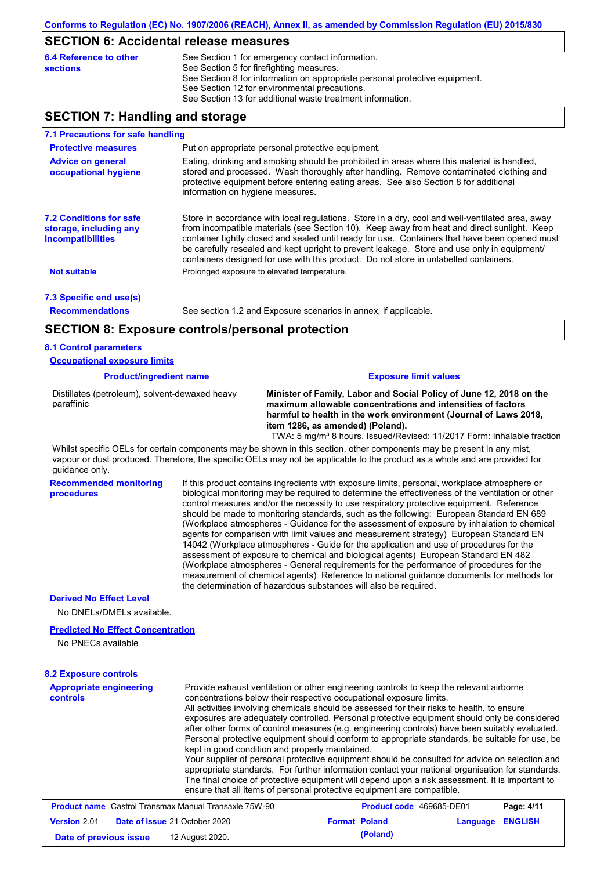### **SECTION 6: Accidental release measures**

| 6.4 Reference to other | See Section 1 for emergency contact information.                            |
|------------------------|-----------------------------------------------------------------------------|
| sections               | See Section 5 for firefighting measures.                                    |
|                        | See Section 8 for information on appropriate personal protective equipment. |
|                        | See Section 12 for environmental precautions.                               |
|                        | See Section 13 for additional waste treatment information.                  |
|                        |                                                                             |

### **SECTION 7: Handling and storage**

| 7.1 Precautions for safe handling                                                    |                                                                                                                                                                                                                                                                                                                                                                                                                                                                                          |
|--------------------------------------------------------------------------------------|------------------------------------------------------------------------------------------------------------------------------------------------------------------------------------------------------------------------------------------------------------------------------------------------------------------------------------------------------------------------------------------------------------------------------------------------------------------------------------------|
| <b>Protective measures</b>                                                           | Put on appropriate personal protective equipment.                                                                                                                                                                                                                                                                                                                                                                                                                                        |
| <b>Advice on general</b><br>occupational hygiene                                     | Eating, drinking and smoking should be prohibited in areas where this material is handled,<br>stored and processed. Wash thoroughly after handling. Remove contaminated clothing and<br>protective equipment before entering eating areas. See also Section 8 for additional<br>information on hygiene measures.                                                                                                                                                                         |
| <b>7.2 Conditions for safe</b><br>storage, including any<br><i>incompatibilities</i> | Store in accordance with local requlations. Store in a dry, cool and well-ventilated area, away<br>from incompatible materials (see Section 10). Keep away from heat and direct sunlight. Keep<br>container tightly closed and sealed until ready for use. Containers that have been opened must<br>be carefully resealed and kept upright to prevent leakage. Store and use only in equipment/<br>containers designed for use with this product. Do not store in unlabelled containers. |
| <b>Not suitable</b>                                                                  | Prolonged exposure to elevated temperature.                                                                                                                                                                                                                                                                                                                                                                                                                                              |
| 7.3 Specific end use(s)                                                              |                                                                                                                                                                                                                                                                                                                                                                                                                                                                                          |
| <b>Recommendations</b>                                                               | See section 1.2 and Exposure scenarios in annex, if applicable.                                                                                                                                                                                                                                                                                                                                                                                                                          |
|                                                                                      | <b>SECTION 8: Exposure controls/personal protection</b>                                                                                                                                                                                                                                                                                                                                                                                                                                  |
| 8.1 Control parameters                                                               |                                                                                                                                                                                                                                                                                                                                                                                                                                                                                          |
| <b>Occupational exposure limits</b>                                                  |                                                                                                                                                                                                                                                                                                                                                                                                                                                                                          |

| <b>Product/ingredient name</b>                               | <b>Exposure limit values</b>                                                                                                                                                                                                               |  |  |
|--------------------------------------------------------------|--------------------------------------------------------------------------------------------------------------------------------------------------------------------------------------------------------------------------------------------|--|--|
| Distillates (petroleum), solvent-dewaxed heavy<br>paraffinic | Minister of Family, Labor and Social Policy of June 12, 2018 on the<br>maximum allowable concentrations and intensities of factors<br>harmful to health in the work environment (Journal of Laws 2018,<br>item 1286, as amended) (Poland). |  |  |
|                                                              | TWA: 5 mg/m <sup>3</sup> 8 hours. Issued/Revised: 11/2017 Form: Inhalable fraction                                                                                                                                                         |  |  |

Whilst specific OELs for certain components may be shown in this section, other components may be present in any mist, vapour or dust produced. Therefore, the specific OELs may not be applicable to the product as a whole and are provided for guidance only.

**Recommended monitoring procedures**

If this product contains ingredients with exposure limits, personal, workplace atmosphere or biological monitoring may be required to determine the effectiveness of the ventilation or other control measures and/or the necessity to use respiratory protective equipment. Reference should be made to monitoring standards, such as the following: European Standard EN 689 (Workplace atmospheres - Guidance for the assessment of exposure by inhalation to chemical agents for comparison with limit values and measurement strategy) European Standard EN 14042 (Workplace atmospheres - Guide for the application and use of procedures for the assessment of exposure to chemical and biological agents) European Standard EN 482 (Workplace atmospheres - General requirements for the performance of procedures for the measurement of chemical agents) Reference to national guidance documents for methods for the determination of hazardous substances will also be required.

### **Derived No Effect Level**

No DNELs/DMELs available.

#### **Predicted No Effect Concentration**

No PNECs available

#### **8.2 Exposure controls**

| <b>Appropriate engineering</b><br>controls                   | Provide exhaust ventilation or other engineering controls to keep the relevant airborne<br>concentrations below their respective occupational exposure limits.<br>All activities involving chemicals should be assessed for their risks to health, to ensure<br>exposures are adequately controlled. Personal protective equipment should only be considered<br>after other forms of control measures (e.g. engineering controls) have been suitably evaluated.<br>Personal protective equipment should conform to appropriate standards, be suitable for use, be<br>kept in good condition and properly maintained.<br>Your supplier of personal protective equipment should be consulted for advice on selection and<br>appropriate standards. For further information contact your national organisation for standards.<br>The final choice of protective equipment will depend upon a risk assessment. It is important to<br>ensure that all items of personal protective equipment are compatible. |                      |                                 |          |                |
|--------------------------------------------------------------|---------------------------------------------------------------------------------------------------------------------------------------------------------------------------------------------------------------------------------------------------------------------------------------------------------------------------------------------------------------------------------------------------------------------------------------------------------------------------------------------------------------------------------------------------------------------------------------------------------------------------------------------------------------------------------------------------------------------------------------------------------------------------------------------------------------------------------------------------------------------------------------------------------------------------------------------------------------------------------------------------------|----------------------|---------------------------------|----------|----------------|
| <b>Product name</b> Castrol Transmax Manual Transaxle 75W-90 |                                                                                                                                                                                                                                                                                                                                                                                                                                                                                                                                                                                                                                                                                                                                                                                                                                                                                                                                                                                                         |                      | <b>Product code</b> 469685-DE01 |          | Page: 4/11     |
| Version 2.01                                                 | Date of issue 21 October 2020                                                                                                                                                                                                                                                                                                                                                                                                                                                                                                                                                                                                                                                                                                                                                                                                                                                                                                                                                                           | <b>Format Poland</b> |                                 | Language | <b>ENGLISH</b> |

**Date of previous issue (Poland)** 12 August 2020.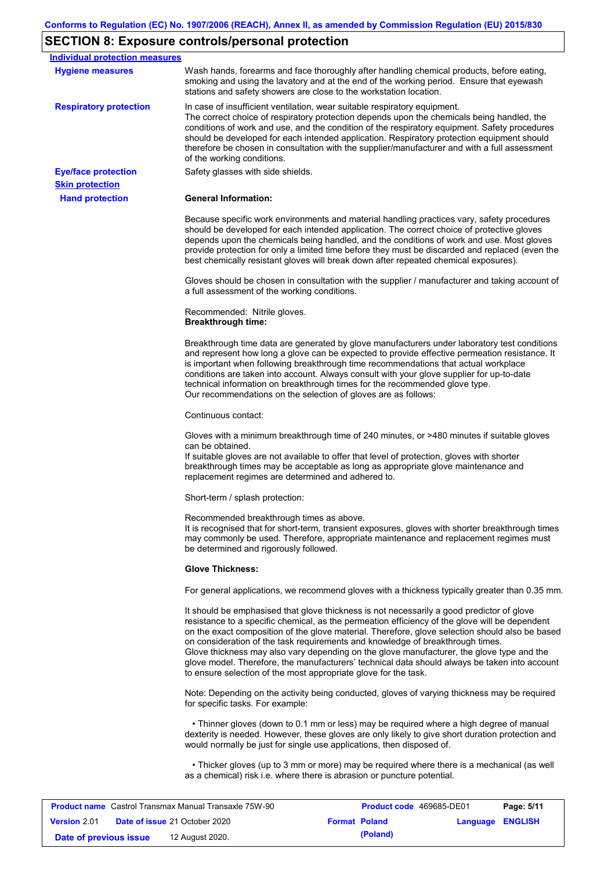# **SECTION 8: Exposure controls/personal protection**

| Individual protection measures                               |                                                                                                                                                                                                                                                                                                                                                                                                                                                                                                                                                                                                                                                   |
|--------------------------------------------------------------|---------------------------------------------------------------------------------------------------------------------------------------------------------------------------------------------------------------------------------------------------------------------------------------------------------------------------------------------------------------------------------------------------------------------------------------------------------------------------------------------------------------------------------------------------------------------------------------------------------------------------------------------------|
| <b>Hygiene measures</b>                                      | Wash hands, forearms and face thoroughly after handling chemical products, before eating,<br>smoking and using the lavatory and at the end of the working period. Ensure that eyewash<br>stations and safety showers are close to the workstation location.                                                                                                                                                                                                                                                                                                                                                                                       |
| <b>Respiratory protection</b>                                | In case of insufficient ventilation, wear suitable respiratory equipment.<br>The correct choice of respiratory protection depends upon the chemicals being handled, the<br>conditions of work and use, and the condition of the respiratory equipment. Safety procedures<br>should be developed for each intended application. Respiratory protection equipment should<br>therefore be chosen in consultation with the supplier/manufacturer and with a full assessment<br>of the working conditions.                                                                                                                                             |
| <b>Eye/face protection</b>                                   | Safety glasses with side shields.                                                                                                                                                                                                                                                                                                                                                                                                                                                                                                                                                                                                                 |
| <b>Skin protection</b>                                       |                                                                                                                                                                                                                                                                                                                                                                                                                                                                                                                                                                                                                                                   |
| <b>Hand protection</b>                                       | <b>General Information:</b>                                                                                                                                                                                                                                                                                                                                                                                                                                                                                                                                                                                                                       |
|                                                              | Because specific work environments and material handling practices vary, safety procedures<br>should be developed for each intended application. The correct choice of protective gloves<br>depends upon the chemicals being handled, and the conditions of work and use. Most gloves<br>provide protection for only a limited time before they must be discarded and replaced (even the<br>best chemically resistant gloves will break down after repeated chemical exposures).                                                                                                                                                                  |
|                                                              | Gloves should be chosen in consultation with the supplier / manufacturer and taking account of<br>a full assessment of the working conditions.                                                                                                                                                                                                                                                                                                                                                                                                                                                                                                    |
|                                                              | Recommended: Nitrile gloves.<br><b>Breakthrough time:</b>                                                                                                                                                                                                                                                                                                                                                                                                                                                                                                                                                                                         |
|                                                              | Breakthrough time data are generated by glove manufacturers under laboratory test conditions<br>and represent how long a glove can be expected to provide effective permeation resistance. It<br>is important when following breakthrough time recommendations that actual workplace<br>conditions are taken into account. Always consult with your glove supplier for up-to-date<br>technical information on breakthrough times for the recommended glove type.<br>Our recommendations on the selection of gloves are as follows:                                                                                                                |
|                                                              | Continuous contact:                                                                                                                                                                                                                                                                                                                                                                                                                                                                                                                                                                                                                               |
|                                                              | Gloves with a minimum breakthrough time of 240 minutes, or >480 minutes if suitable gloves<br>can be obtained.<br>If suitable gloves are not available to offer that level of protection, gloves with shorter<br>breakthrough times may be acceptable as long as appropriate glove maintenance and<br>replacement regimes are determined and adhered to.                                                                                                                                                                                                                                                                                          |
|                                                              | Short-term / splash protection:                                                                                                                                                                                                                                                                                                                                                                                                                                                                                                                                                                                                                   |
|                                                              | Recommended breakthrough times as above.<br>It is recognised that for short-term, transient exposures, gloves with shorter breakthrough times<br>may commonly be used. Therefore, appropriate maintenance and replacement regimes must<br>be determined and rigorously followed.                                                                                                                                                                                                                                                                                                                                                                  |
|                                                              | <b>Glove Thickness:</b>                                                                                                                                                                                                                                                                                                                                                                                                                                                                                                                                                                                                                           |
|                                                              | For general applications, we recommend gloves with a thickness typically greater than 0.35 mm.                                                                                                                                                                                                                                                                                                                                                                                                                                                                                                                                                    |
|                                                              | It should be emphasised that glove thickness is not necessarily a good predictor of glove<br>resistance to a specific chemical, as the permeation efficiency of the glove will be dependent<br>on the exact composition of the glove material. Therefore, glove selection should also be based<br>on consideration of the task requirements and knowledge of breakthrough times.<br>Glove thickness may also vary depending on the glove manufacturer, the glove type and the<br>glove model. Therefore, the manufacturers' technical data should always be taken into account<br>to ensure selection of the most appropriate glove for the task. |
|                                                              | Note: Depending on the activity being conducted, gloves of varying thickness may be required<br>for specific tasks. For example:                                                                                                                                                                                                                                                                                                                                                                                                                                                                                                                  |
|                                                              | • Thinner gloves (down to 0.1 mm or less) may be required where a high degree of manual<br>dexterity is needed. However, these gloves are only likely to give short duration protection and<br>would normally be just for single use applications, then disposed of.                                                                                                                                                                                                                                                                                                                                                                              |
|                                                              | • Thicker gloves (up to 3 mm or more) may be required where there is a mechanical (as well<br>as a chemical) risk i.e. where there is abrasion or puncture potential.                                                                                                                                                                                                                                                                                                                                                                                                                                                                             |
|                                                              |                                                                                                                                                                                                                                                                                                                                                                                                                                                                                                                                                                                                                                                   |
| <b>Product name</b> Castrol Transmax Manual Transaxle 75W-90 | Product code 469685-DE01<br>Page: 5/11                                                                                                                                                                                                                                                                                                                                                                                                                                                                                                                                                                                                            |

| <b>Product name</b> Castion Hansmax Manual Hansaxie 7500-90 |                                      | <b>Product code</b> 409000-DEUT |                  | Page: 5/11 |
|-------------------------------------------------------------|--------------------------------------|---------------------------------|------------------|------------|
| <b>Version 2.01</b>                                         | <b>Date of issue 21 October 2020</b> | <b>Format Poland</b>            | Language ENGLISH |            |
| Date of previous issue                                      | 12 August 2020.                      | (Poland)                        |                  |            |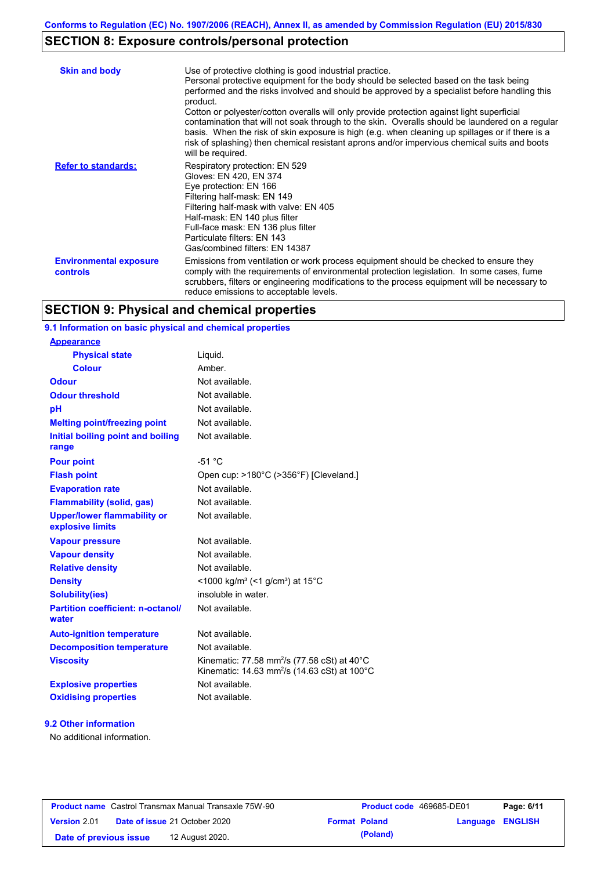## **SECTION 8: Exposure controls/personal protection**

| <b>Skin and body</b>                      | Use of protective clothing is good industrial practice.<br>Personal protective equipment for the body should be selected based on the task being<br>performed and the risks involved and should be approved by a specialist before handling this<br>product.<br>Cotton or polyester/cotton overalls will only provide protection against light superficial<br>contamination that will not soak through to the skin. Overalls should be laundered on a regular<br>basis. When the risk of skin exposure is high (e.g. when cleaning up spillages or if there is a<br>risk of splashing) then chemical resistant aprons and/or impervious chemical suits and boots<br>will be required. |
|-------------------------------------------|---------------------------------------------------------------------------------------------------------------------------------------------------------------------------------------------------------------------------------------------------------------------------------------------------------------------------------------------------------------------------------------------------------------------------------------------------------------------------------------------------------------------------------------------------------------------------------------------------------------------------------------------------------------------------------------|
| <b>Refer to standards:</b>                | Respiratory protection: EN 529<br>Gloves: EN 420, EN 374<br>Eye protection: EN 166<br>Filtering half-mask: EN 149<br>Filtering half-mask with valve: EN 405<br>Half-mask: EN 140 plus filter<br>Full-face mask: EN 136 plus filter<br>Particulate filters: EN 143<br>Gas/combined filters: EN 14387                                                                                                                                                                                                                                                                                                                                                                                   |
| <b>Environmental exposure</b><br>controls | Emissions from ventilation or work process equipment should be checked to ensure they<br>comply with the requirements of environmental protection legislation. In some cases, fume<br>scrubbers, filters or engineering modifications to the process equipment will be necessary to<br>reduce emissions to acceptable levels.                                                                                                                                                                                                                                                                                                                                                         |

## **SECTION 9: Physical and chemical properties**

### **9.1 Information on basic physical and chemical properties**

| <b>Appearance</b>                                      |                                                                                                                                |
|--------------------------------------------------------|--------------------------------------------------------------------------------------------------------------------------------|
| <b>Physical state</b>                                  | Liquid.                                                                                                                        |
| <b>Colour</b>                                          | Amber.                                                                                                                         |
| <b>Odour</b>                                           | Not available.                                                                                                                 |
| <b>Odour threshold</b>                                 | Not available.                                                                                                                 |
| pH                                                     | Not available.                                                                                                                 |
| <b>Melting point/freezing point</b>                    | Not available.                                                                                                                 |
| Initial boiling point and boiling<br>range             | Not available.                                                                                                                 |
| <b>Pour point</b>                                      | $-51 °C$                                                                                                                       |
| <b>Flash point</b>                                     | Open cup: >180°C (>356°F) [Cleveland.]                                                                                         |
| <b>Evaporation rate</b>                                | Not available.                                                                                                                 |
| <b>Flammability (solid, gas)</b>                       | Not available.                                                                                                                 |
| <b>Upper/lower flammability or</b><br>explosive limits | Not available.                                                                                                                 |
| <b>Vapour pressure</b>                                 | Not available.                                                                                                                 |
| <b>Vapour density</b>                                  | Not available.                                                                                                                 |
| <b>Relative density</b>                                | Not available.                                                                                                                 |
| <b>Density</b>                                         | <1000 kg/m <sup>3</sup> (<1 g/cm <sup>3</sup> ) at 15 <sup>°</sup> C                                                           |
| <b>Solubility(ies)</b>                                 | insoluble in water.                                                                                                            |
| <b>Partition coefficient: n-octanol/</b><br>water      | Not available.                                                                                                                 |
| <b>Auto-ignition temperature</b>                       | Not available.                                                                                                                 |
| <b>Decomposition temperature</b>                       | Not available.                                                                                                                 |
| <b>Viscosity</b>                                       | Kinematic: 77.58 mm <sup>2</sup> /s (77.58 cSt) at 40°C<br>Kinematic: 14.63 mm <sup>2</sup> /s (14.63 cSt) at 100 $^{\circ}$ C |
| <b>Explosive properties</b>                            | Not available.                                                                                                                 |
| <b>Oxidising properties</b>                            | Not available.                                                                                                                 |

### **9.2 Other information**

No additional information.

| <b>Product name</b> Castrol Transmax Manual Transaxle 75W-90 |  |                                      | <b>Product code</b> 469685-DE01 |                      | Page: 6/11       |  |
|--------------------------------------------------------------|--|--------------------------------------|---------------------------------|----------------------|------------------|--|
| <b>Version 2.01</b>                                          |  | <b>Date of issue 21 October 2020</b> |                                 | <b>Format Poland</b> | Language ENGLISH |  |
| Date of previous issue                                       |  | 12 August 2020.                      |                                 | (Poland)             |                  |  |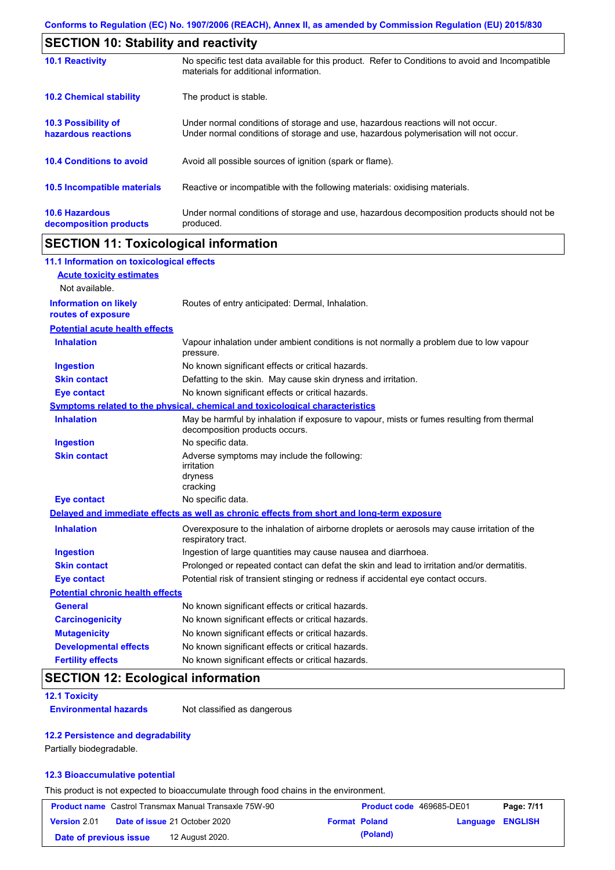|                                                   | <b>SECTION 10: Stability and reactivity</b>                                                                                                                             |  |  |  |
|---------------------------------------------------|-------------------------------------------------------------------------------------------------------------------------------------------------------------------------|--|--|--|
| <b>10.1 Reactivity</b>                            | No specific test data available for this product. Refer to Conditions to avoid and Incompatible<br>materials for additional information.                                |  |  |  |
| <b>10.2 Chemical stability</b>                    | The product is stable.                                                                                                                                                  |  |  |  |
| <b>10.3 Possibility of</b><br>hazardous reactions | Under normal conditions of storage and use, hazardous reactions will not occur.<br>Under normal conditions of storage and use, hazardous polymerisation will not occur. |  |  |  |
| <b>10.4 Conditions to avoid</b>                   | Avoid all possible sources of ignition (spark or flame).                                                                                                                |  |  |  |
| 10.5 Incompatible materials                       | Reactive or incompatible with the following materials: oxidising materials.                                                                                             |  |  |  |
| <b>10.6 Hazardous</b><br>decomposition products   | Under normal conditions of storage and use, hazardous decomposition products should not be<br>produced.                                                                 |  |  |  |

## **SECTION 11: Toxicological information**

| 11.1 Information on toxicological effects          |                                                                                                                             |
|----------------------------------------------------|-----------------------------------------------------------------------------------------------------------------------------|
| <b>Acute toxicity estimates</b>                    |                                                                                                                             |
| Not available.                                     |                                                                                                                             |
| <b>Information on likely</b><br>routes of exposure | Routes of entry anticipated: Dermal, Inhalation.                                                                            |
| <b>Potential acute health effects</b>              |                                                                                                                             |
| <b>Inhalation</b>                                  | Vapour inhalation under ambient conditions is not normally a problem due to low vapour<br>pressure.                         |
| <b>Ingestion</b>                                   | No known significant effects or critical hazards.                                                                           |
| <b>Skin contact</b>                                | Defatting to the skin. May cause skin dryness and irritation.                                                               |
| <b>Eye contact</b>                                 | No known significant effects or critical hazards.                                                                           |
|                                                    | Symptoms related to the physical, chemical and toxicological characteristics                                                |
| <b>Inhalation</b>                                  | May be harmful by inhalation if exposure to vapour, mists or fumes resulting from thermal<br>decomposition products occurs. |
| <b>Ingestion</b>                                   | No specific data.                                                                                                           |
| <b>Skin contact</b>                                | Adverse symptoms may include the following:<br>irritation<br>dryness<br>cracking                                            |
| <b>Eye contact</b>                                 | No specific data.                                                                                                           |
|                                                    | Delayed and immediate effects as well as chronic effects from short and long-term exposure                                  |
| <b>Inhalation</b>                                  | Overexposure to the inhalation of airborne droplets or aerosols may cause irritation of the<br>respiratory tract.           |
| <b>Ingestion</b>                                   | Ingestion of large quantities may cause nausea and diarrhoea.                                                               |
| <b>Skin contact</b>                                | Prolonged or repeated contact can defat the skin and lead to irritation and/or dermatitis.                                  |
| <b>Eye contact</b>                                 | Potential risk of transient stinging or redness if accidental eye contact occurs.                                           |
| <b>Potential chronic health effects</b>            |                                                                                                                             |
| <b>General</b>                                     | No known significant effects or critical hazards.                                                                           |
| <b>Carcinogenicity</b>                             | No known significant effects or critical hazards.                                                                           |
| <b>Mutagenicity</b>                                | No known significant effects or critical hazards.                                                                           |
| <b>Developmental effects</b>                       | No known significant effects or critical hazards.                                                                           |
| <b>Fertility effects</b>                           | No known significant effects or critical hazards.                                                                           |

## **SECTION 12: Ecological information**

### **12.1 Toxicity**

**Environmental hazards** Not classified as dangerous

### **12.2 Persistence and degradability**

Partially biodegradable.

### **12.3 Bioaccumulative potential**

This product is not expected to bioaccumulate through food chains in the environment.

| <b>Product name</b> Castrol Transmax Manual Transaxle 75W-90 |  | Product code 469685-DE01             |                      | Page: 7/11 |                  |  |
|--------------------------------------------------------------|--|--------------------------------------|----------------------|------------|------------------|--|
| <b>Version 2.01</b>                                          |  | <b>Date of issue 21 October 2020</b> | <b>Format Poland</b> |            | Language ENGLISH |  |
| Date of previous issue                                       |  | 12 August 2020.                      |                      | (Poland)   |                  |  |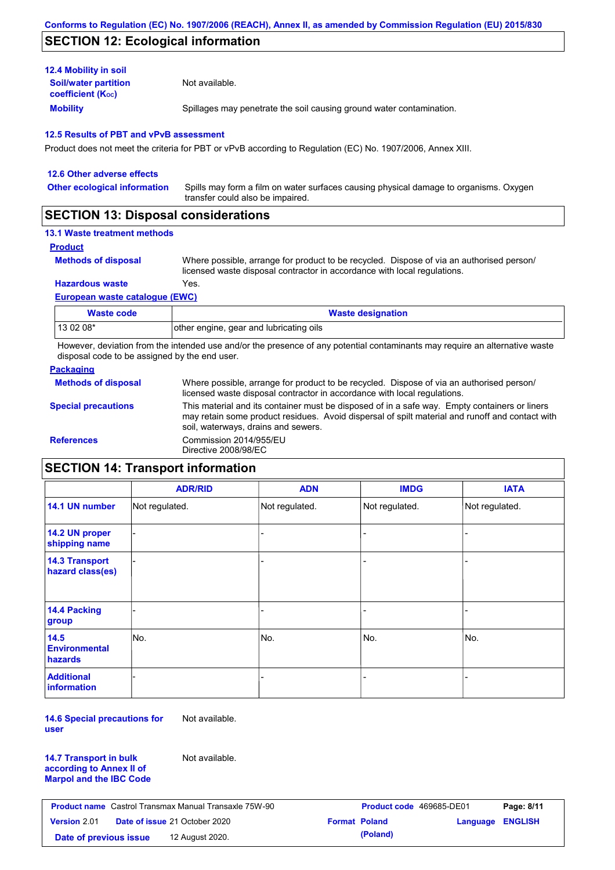### **SECTION 12: Ecological information**

| <b>12.4 Mobility in soil</b>                            |                                                                      |
|---------------------------------------------------------|----------------------------------------------------------------------|
| <b>Soil/water partition</b><br><b>coefficient (Koc)</b> | Not available.                                                       |
| <b>Mobility</b>                                         | Spillages may penetrate the soil causing ground water contamination. |

#### **12.5 Results of PBT and vPvB assessment**

Product does not meet the criteria for PBT or vPvB according to Regulation (EC) No. 1907/2006, Annex XIII.

| 12.6 Other adverse effects          |                                                                                                                           |
|-------------------------------------|---------------------------------------------------------------------------------------------------------------------------|
| <b>Other ecological information</b> | Spills may form a film on water surfaces causing physical damage to organisms. Oxygen<br>transfer could also be impaired. |
|                                     |                                                                                                                           |

### **SECTION 13: Disposal considerations**

### **13.1 Waste treatment methods**

**Product**

```
Methods of disposal
```
Where possible, arrange for product to be recycled. Dispose of via an authorised person/ licensed waste disposal contractor in accordance with local regulations.

**Hazardous waste** Yes.

#### **European waste catalogue (EWC)**

| Waste code | <b>Waste designation</b>                |
|------------|-----------------------------------------|
| 13 02 08*  | other engine, gear and lubricating oils |

However, deviation from the intended use and/or the presence of any potential contaminants may require an alternative waste disposal code to be assigned by the end user.

### **Packaging**

| <b>Methods of disposal</b> | Where possible, arrange for product to be recycled. Dispose of via an authorised person/<br>licensed waste disposal contractor in accordance with local regulations.                                                                    |
|----------------------------|-----------------------------------------------------------------------------------------------------------------------------------------------------------------------------------------------------------------------------------------|
| <b>Special precautions</b> | This material and its container must be disposed of in a safe way. Empty containers or liners<br>may retain some product residues. Avoid dispersal of spilt material and runoff and contact with<br>soil, waterways, drains and sewers. |
| <b>References</b>          | Commission 2014/955/EU<br>Directive 2008/98/EC                                                                                                                                                                                          |

### **SECTION 14: Transport information**

|                                           | <b>ADR/RID</b> | <b>ADN</b>     | <b>IMDG</b>    | <b>IATA</b>    |
|-------------------------------------------|----------------|----------------|----------------|----------------|
| 14.1 UN number                            | Not regulated. | Not regulated. | Not regulated. | Not regulated. |
| 14.2 UN proper<br>shipping name           |                |                | -              |                |
| <b>14.3 Transport</b><br>hazard class(es) |                |                |                |                |
| 14.4 Packing<br>group                     |                |                |                |                |
| 14.5<br><b>Environmental</b><br>hazards   | No.            | No.            | No.            | No.            |
| <b>Additional</b><br><b>information</b>   |                |                |                |                |

**14.6 Special precautions for user** Not available.

**14.7 Transport in bulk according to Annex II of Marpol and the IBC Code** Not available.

| <b>Product name</b> Castrol Transmax Manual Transaxle 75W-90 |  | <b>Product code</b> 469685-DE01      |                      | Page: 8/11 |                  |  |
|--------------------------------------------------------------|--|--------------------------------------|----------------------|------------|------------------|--|
| <b>Version 2.01</b>                                          |  | <b>Date of issue 21 October 2020</b> | <b>Format Poland</b> |            | Language ENGLISH |  |
| Date of previous issue                                       |  | 12 August 2020.                      |                      | (Poland)   |                  |  |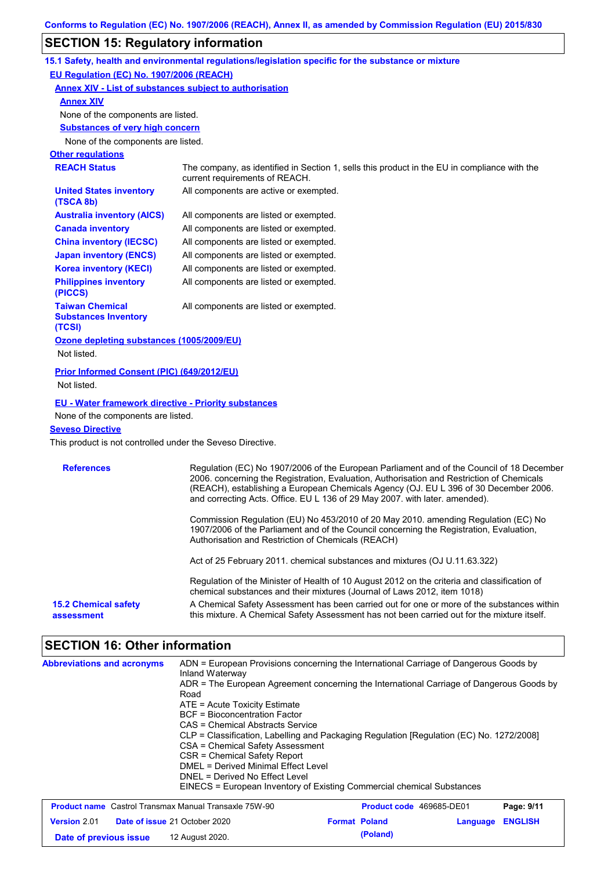# **SECTION 15: Regulatory information**

| $\overline{\mathbf{C}}$ . To the second contract of the second $\overline{\mathbf{C}}$ |                                                                                                                                                                                                                                                                                                                                                               |
|----------------------------------------------------------------------------------------|---------------------------------------------------------------------------------------------------------------------------------------------------------------------------------------------------------------------------------------------------------------------------------------------------------------------------------------------------------------|
|                                                                                        | 15.1 Safety, health and environmental regulations/legislation specific for the substance or mixture                                                                                                                                                                                                                                                           |
| EU Regulation (EC) No. 1907/2006 (REACH)                                               |                                                                                                                                                                                                                                                                                                                                                               |
|                                                                                        | <b>Annex XIV - List of substances subject to authorisation</b>                                                                                                                                                                                                                                                                                                |
| <b>Annex XIV</b>                                                                       |                                                                                                                                                                                                                                                                                                                                                               |
| None of the components are listed.                                                     |                                                                                                                                                                                                                                                                                                                                                               |
| <b>Substances of very high concern</b>                                                 |                                                                                                                                                                                                                                                                                                                                                               |
| None of the components are listed.                                                     |                                                                                                                                                                                                                                                                                                                                                               |
| <b>Other regulations</b>                                                               |                                                                                                                                                                                                                                                                                                                                                               |
| <b>REACH Status</b>                                                                    | The company, as identified in Section 1, sells this product in the EU in compliance with the<br>current requirements of REACH.                                                                                                                                                                                                                                |
| <b>United States inventory</b><br>(TSCA 8b)                                            | All components are active or exempted.                                                                                                                                                                                                                                                                                                                        |
| <b>Australia inventory (AICS)</b>                                                      | All components are listed or exempted.                                                                                                                                                                                                                                                                                                                        |
| <b>Canada inventory</b>                                                                | All components are listed or exempted.                                                                                                                                                                                                                                                                                                                        |
| <b>China inventory (IECSC)</b>                                                         | All components are listed or exempted.                                                                                                                                                                                                                                                                                                                        |
| <b>Japan inventory (ENCS)</b>                                                          | All components are listed or exempted.                                                                                                                                                                                                                                                                                                                        |
| <b>Korea inventory (KECI)</b>                                                          | All components are listed or exempted.                                                                                                                                                                                                                                                                                                                        |
| <b>Philippines inventory</b><br>(PICCS)                                                | All components are listed or exempted.                                                                                                                                                                                                                                                                                                                        |
| <b>Taiwan Chemical</b><br><b>Substances Inventory</b><br>(TCSI)                        | All components are listed or exempted.                                                                                                                                                                                                                                                                                                                        |
| Ozone depleting substances (1005/2009/EU)<br>Not listed.                               |                                                                                                                                                                                                                                                                                                                                                               |
| Prior Informed Consent (PIC) (649/2012/EU)<br>Not listed.                              |                                                                                                                                                                                                                                                                                                                                                               |
| <b>EU - Water framework directive - Priority substances</b>                            |                                                                                                                                                                                                                                                                                                                                                               |
| None of the components are listed.                                                     |                                                                                                                                                                                                                                                                                                                                                               |
| <b>Seveso Directive</b>                                                                |                                                                                                                                                                                                                                                                                                                                                               |
| This product is not controlled under the Seveso Directive.                             |                                                                                                                                                                                                                                                                                                                                                               |
| <b>References</b>                                                                      | Regulation (EC) No 1907/2006 of the European Parliament and of the Council of 18 December<br>2006. concerning the Registration, Evaluation, Authorisation and Restriction of Chemicals<br>(REACH), establishing a European Chemicals Agency (OJ. EU L 396 of 30 December 2006.<br>and correcting Acts. Office. EU L 136 of 29 May 2007. with later. amended). |
|                                                                                        | Commission Regulation (EU) No 453/2010 of 20 May 2010. amending Regulation (EC) No<br>1907/2006 of the Parliament and of the Council concerning the Registration, Evaluation,<br>Authorisation and Restriction of Chemicals (REACH)                                                                                                                           |
|                                                                                        | Act of 25 February 2011. chemical substances and mixtures (OJ U.11.63.322)                                                                                                                                                                                                                                                                                    |
|                                                                                        | Regulation of the Minister of Health of 10 August 2012 on the criteria and classification of<br>chemical substances and their mixtures (Journal of Laws 2012, item 1018)                                                                                                                                                                                      |
| <b>15.2 Chemical safety</b><br>assessment                                              | A Chemical Safety Assessment has been carried out for one or more of the substances within<br>this mixture. A Chemical Safety Assessment has not been carried out for the mixture itself.                                                                                                                                                                     |

# **SECTION 16: Other information**

| <b>Abbreviations and acronyms</b>                            | ADN = European Provisions concerning the International Carriage of Dangerous Goods by<br>Inland Waterway<br>ADR = The European Agreement concerning the International Carriage of Dangerous Goods by<br>Road<br>$ATE = Acute Toxicity Estimate$<br>BCF = Bioconcentration Factor<br>CAS = Chemical Abstracts Service<br>CLP = Classification, Labelling and Packaging Regulation [Regulation (EC) No. 1272/2008]<br>CSA = Chemical Safety Assessment<br>CSR = Chemical Safety Report<br>DMEL = Derived Minimal Effect Level<br>DNEL = Derived No Effect Level<br>EINECS = European Inventory of Existing Commercial chemical Substances |                      |                          |          |                |
|--------------------------------------------------------------|-----------------------------------------------------------------------------------------------------------------------------------------------------------------------------------------------------------------------------------------------------------------------------------------------------------------------------------------------------------------------------------------------------------------------------------------------------------------------------------------------------------------------------------------------------------------------------------------------------------------------------------------|----------------------|--------------------------|----------|----------------|
| <b>Product name</b> Castrol Transmax Manual Transaxle 75W-90 |                                                                                                                                                                                                                                                                                                                                                                                                                                                                                                                                                                                                                                         |                      | Product code 469685-DE01 |          | Page: 9/11     |
| <b>Version 2.01</b><br>Date of issue 21 October 2020         |                                                                                                                                                                                                                                                                                                                                                                                                                                                                                                                                                                                                                                         | <b>Format Poland</b> |                          | Language | <b>ENGLISH</b> |
| Date of previous issue                                       | 12 August 2020.                                                                                                                                                                                                                                                                                                                                                                                                                                                                                                                                                                                                                         |                      | (Poland)                 |          |                |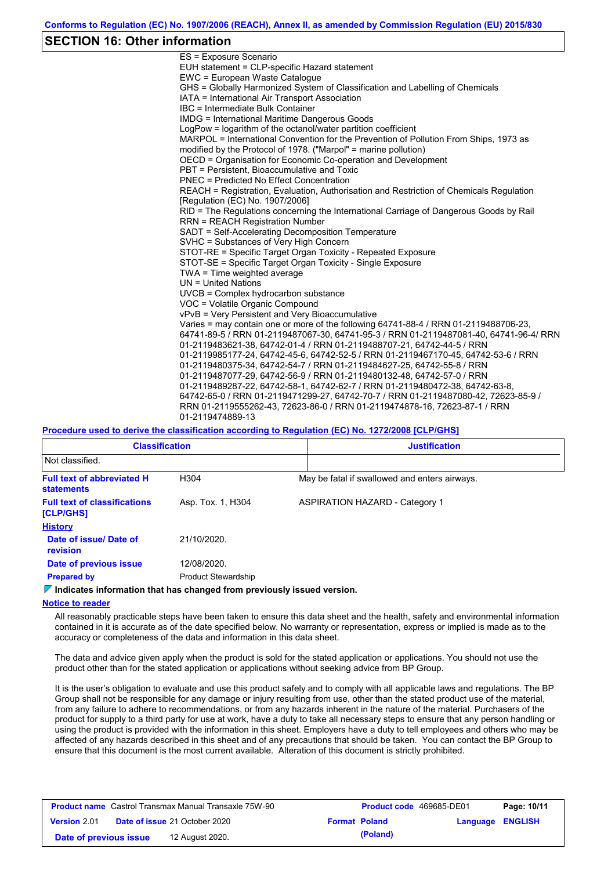### **SECTION 16: Other information**

| ES = Exposure Scenario                                                                  |
|-----------------------------------------------------------------------------------------|
| EUH statement = CLP-specific Hazard statement                                           |
| EWC = European Waste Catalogue                                                          |
| GHS = Globally Harmonized System of Classification and Labelling of Chemicals           |
| IATA = International Air Transport Association                                          |
| IBC = Intermediate Bulk Container                                                       |
| <b>IMDG = International Maritime Dangerous Goods</b>                                    |
| LogPow = logarithm of the octanol/water partition coefficient                           |
| MARPOL = International Convention for the Prevention of Pollution From Ships, 1973 as   |
| modified by the Protocol of 1978. ("Marpol" = marine pollution)                         |
| OECD = Organisation for Economic Co-operation and Development                           |
| PBT = Persistent, Bioaccumulative and Toxic                                             |
| PNEC = Predicted No Effect Concentration                                                |
| REACH = Registration, Evaluation, Authorisation and Restriction of Chemicals Regulation |
| [Regulation (EC) No. 1907/2006]                                                         |
| RID = The Regulations concerning the International Carriage of Dangerous Goods by Rail  |
| <b>RRN = REACH Registration Number</b>                                                  |
| SADT = Self-Accelerating Decomposition Temperature                                      |
| SVHC = Substances of Very High Concern                                                  |
| STOT-RE = Specific Target Organ Toxicity - Repeated Exposure                            |
| STOT-SE = Specific Target Organ Toxicity - Single Exposure                              |
| TWA = Time weighted average                                                             |
| UN = United Nations                                                                     |
| UVCB = Complex hydrocarbon substance                                                    |
| VOC = Volatile Organic Compound                                                         |
| vPvB = Very Persistent and Very Bioaccumulative                                         |
| Varies = may contain one or more of the following 64741-88-4 / RRN 01-2119488706-23,    |
| 64741-89-5 / RRN 01-2119487067-30, 64741-95-3 / RRN 01-2119487081-40, 64741-96-4/ RRN   |
| 01-2119483621-38, 64742-01-4 / RRN 01-2119488707-21, 64742-44-5 / RRN                   |
| 01-2119985177-24, 64742-45-6, 64742-52-5 / RRN 01-2119467170-45, 64742-53-6 / RRN       |
| 01-2119480375-34, 64742-54-7 / RRN 01-2119484627-25, 64742-55-8 / RRN                   |
| 01-2119487077-29, 64742-56-9 / RRN 01-2119480132-48, 64742-57-0 / RRN                   |
| 01-2119489287-22, 64742-58-1, 64742-62-7 / RRN 01-2119480472-38, 64742-63-8,            |
| 64742-65-0 / RRN 01-2119471299-27, 64742-70-7 / RRN 01-2119487080-42, 72623-85-9 /      |
| RRN 01-2119555262-43, 72623-86-0 / RRN 01-2119474878-16, 72623-87-1 / RRN               |
| 01-2119474889-13                                                                        |

**Procedure used to derive the classification according to Regulation (EC) No. 1272/2008 [CLP/GHS]**

| <b>Classification</b>                                  |                            | <b>Justification</b>                          |  |  |
|--------------------------------------------------------|----------------------------|-----------------------------------------------|--|--|
| Not classified.                                        |                            |                                               |  |  |
| <b>Full text of abbreviated H</b><br><b>statements</b> | H304                       | May be fatal if swallowed and enters airways. |  |  |
| <b>Full text of classifications</b><br>[CLP/GHS]       | Asp. Tox. 1, H304          | <b>ASPIRATION HAZARD - Category 1</b>         |  |  |
| <b>History</b>                                         |                            |                                               |  |  |
| Date of issue/Date of<br>revision                      | 21/10/2020.                |                                               |  |  |
| Date of previous issue                                 | 12/08/2020.                |                                               |  |  |
| <b>Prepared by</b>                                     | <b>Product Stewardship</b> |                                               |  |  |

**Indicates information that has changed from previously issued version.**

### **Notice to reader**

All reasonably practicable steps have been taken to ensure this data sheet and the health, safety and environmental information contained in it is accurate as of the date specified below. No warranty or representation, express or implied is made as to the accuracy or completeness of the data and information in this data sheet.

The data and advice given apply when the product is sold for the stated application or applications. You should not use the product other than for the stated application or applications without seeking advice from BP Group.

It is the user's obligation to evaluate and use this product safely and to comply with all applicable laws and regulations. The BP Group shall not be responsible for any damage or injury resulting from use, other than the stated product use of the material, from any failure to adhere to recommendations, or from any hazards inherent in the nature of the material. Purchasers of the product for supply to a third party for use at work, have a duty to take all necessary steps to ensure that any person handling or using the product is provided with the information in this sheet. Employers have a duty to tell employees and others who may be affected of any hazards described in this sheet and of any precautions that should be taken. You can contact the BP Group to ensure that this document is the most current available. Alteration of this document is strictly prohibited.

| <b>Product name</b> Castrol Transmax Manual Transaxle 75W-90 |                                      |  | <b>Product code</b> 469685-DE01 |                  | Page: 10/11 |
|--------------------------------------------------------------|--------------------------------------|--|---------------------------------|------------------|-------------|
| <b>Version 2.01</b>                                          | <b>Date of issue 21 October 2020</b> |  | <b>Format Poland</b>            | Language ENGLISH |             |
| Date of previous issue                                       | 12 August 2020.                      |  | (Poland)                        |                  |             |